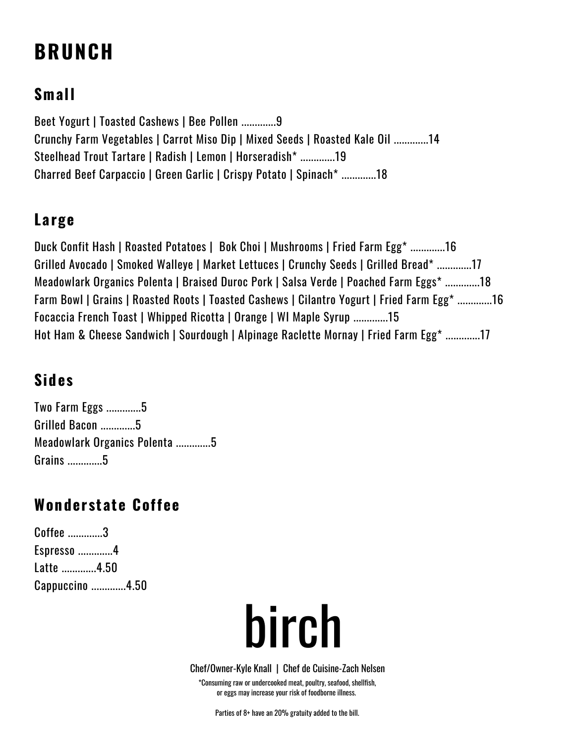## **BRUNCH**

## **Small**

Beet Yogurt | Toasted Cashews | Bee Pollen .............9 Crunchy Farm Vegetables | Carrot Miso Dip | Mixed Seeds | Roasted Kale Oil .............14 Steelhead Trout Tartare | Radish | Lemon | Horseradish\* .............19 Charred Beef Carpaccio | Green Garlic | Crispy Potato | Spinach\* .............18

#### **Large**

Duck Confit Hash | Roasted Potatoes | Bok Choi | Mushrooms | Fried Farm Egg\* .............16 Grilled Avocado | Smoked Walleye | Market Lettuces | Crunchy Seeds | Grilled Bread\* .............17 Meadowlark Organics Polenta | Braised Duroc Pork | Salsa Verde | Poached Farm Eggs\* .............18 Farm Bowl | Grains | Roasted Roots | Toasted Cashews | Cilantro Yogurt | Fried Farm Egg\* .............16 Focaccia French Toast | Whipped Ricotta | Orange | WI Maple Syrup .............15 Hot Ham & Cheese Sandwich | Sourdough | Alpinage Raclette Mornay | Fried Farm Egg\* .............17

## **Sides**

Two Farm Eggs .............5 Grilled Bacon .............5 Meadowlark Organics Polenta .............5 Grains .............5

## **Wonderstate Coffee**

Coffee .............3 Espresso .............4 Latte .............4.50 Cappuccino .............4.50

# birch

\*Consuming raw or undercooked meat, poultry, seafood, shellfish, or eggs may increase your risk of foodborne illness. Chef/Owner-Kyle Knall | Chef de Cuisine-Zach Nelsen